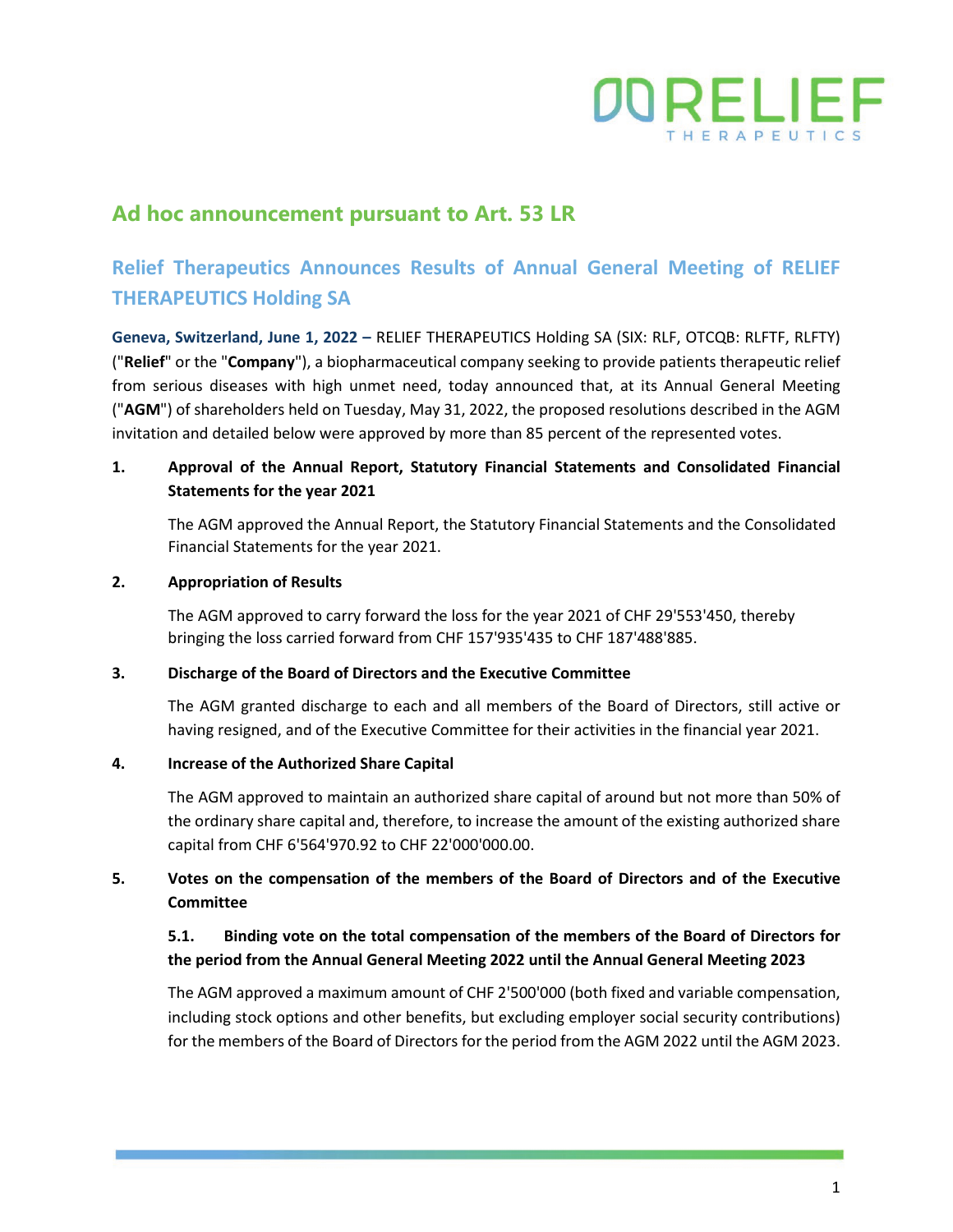

## **Ad hoc announcement pursuant to Art. 53 LR**

# **Relief Therapeutics Announces Results of Annual General Meeting of RELIEF THERAPEUTICS Holding SA**

**Geneva, Switzerland, June 1, 2022 –** RELIEF THERAPEUTICS Holding SA (SIX: RLF, OTCQB: RLFTF, RLFTY) ("**Relief**" or the "**Company**"), a biopharmaceutical company seeking to provide patients therapeutic relief from serious diseases with high unmet need, today announced that, at its Annual General Meeting ("**AGM**") of shareholders held on Tuesday, May 31, 2022, the proposed resolutions described in the AGM invitation and detailed below were approved by more than 85 percent of the represented votes.

### **1. Approval of the Annual Report, Statutory Financial Statements and Consolidated Financial Statements for the year 2021**

The AGM approved the Annual Report, the Statutory Financial Statements and the Consolidated Financial Statements for the year 2021.

#### **2. Appropriation of Results**

The AGM approved to carry forward the loss for the year 2021 of CHF 29'553'450, thereby bringing the loss carried forward from CHF 157'935'435 to CHF 187'488'885.

#### **3. Discharge of the Board of Directors and the Executive Committee**

The AGM granted discharge to each and all members of the Board of Directors, still active or having resigned, and of the Executive Committee for their activities in the financial year 2021.

#### **4. Increase of the Authorized Share Capital**

The AGM approved to maintain an authorized share capital of around but not more than 50% of the ordinary share capital and, therefore, to increase the amount of the existing authorized share capital from CHF 6'564'970.92 to CHF 22'000'000.00.

### **5. Votes on the compensation of the members of the Board of Directors and of the Executive Committee**

### **5.1. Binding vote on the total compensation of the members of the Board of Directors for the period from the Annual General Meeting 2022 until the Annual General Meeting 2023**

The AGM approved a maximum amount of CHF 2'500'000 (both fixed and variable compensation, including stock options and other benefits, but excluding employer social security contributions) for the members of the Board of Directors for the period from the AGM 2022 until the AGM 2023.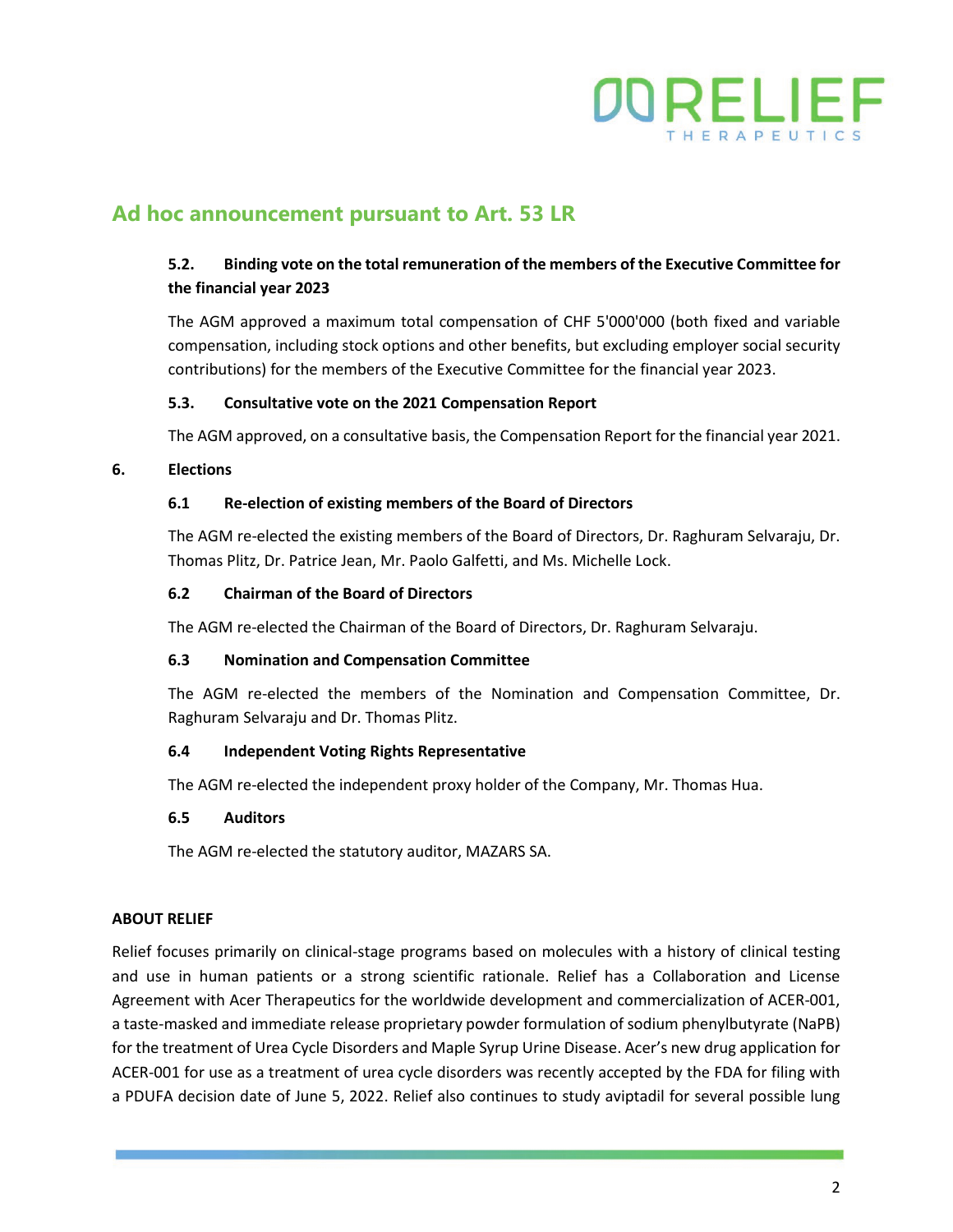

## **Ad hoc announcement pursuant to Art. 53 LR**

### **5.2. Binding vote on the total remuneration of the members of the Executive Committee for the financial year 2023**

The AGM approved a maximum total compensation of CHF 5'000'000 (both fixed and variable compensation, including stock options and other benefits, but excluding employer social security contributions) for the members of the Executive Committee for the financial year 2023.

#### **5.3. Consultative vote on the 2021 Compensation Report**

The AGM approved, on a consultative basis, the Compensation Report for the financial year 2021.

#### **6. Elections**

#### **6.1 Re-election of existing members of the Board of Directors**

The AGM re-elected the existing members of the Board of Directors, Dr. Raghuram Selvaraju, Dr. Thomas Plitz, Dr. Patrice Jean, Mr. Paolo Galfetti, and Ms. Michelle Lock.

#### **6.2 Chairman of the Board of Directors**

The AGM re-elected the Chairman of the Board of Directors, Dr. Raghuram Selvaraju.

#### **6.3 Nomination and Compensation Committee**

The AGM re-elected the members of the Nomination and Compensation Committee, Dr. Raghuram Selvaraju and Dr. Thomas Plitz.

#### **6.4 Independent Voting Rights Representative**

The AGM re-elected the independent proxy holder of the Company, Mr. Thomas Hua.

#### **6.5 Auditors**

The AGM re-elected the statutory auditor, MAZARS SA.

#### **ABOUT RELIEF**

Relief focuses primarily on clinical-stage programs based on molecules with a history of clinical testing and use in human patients or a strong scientific rationale. Relief has a Collaboration and License Agreement with Acer Therapeutics for the worldwide development and commercialization of ACER-001, a taste-masked and immediate release proprietary powder formulation of sodium phenylbutyrate (NaPB) for the treatment of Urea Cycle Disorders and Maple Syrup Urine Disease. Acer's new drug application for ACER-001 for use as a treatment of urea cycle disorders was recently accepted by the FDA for filing with a PDUFA decision date of June 5, 2022. Relief also continues to study aviptadil for several possible lung